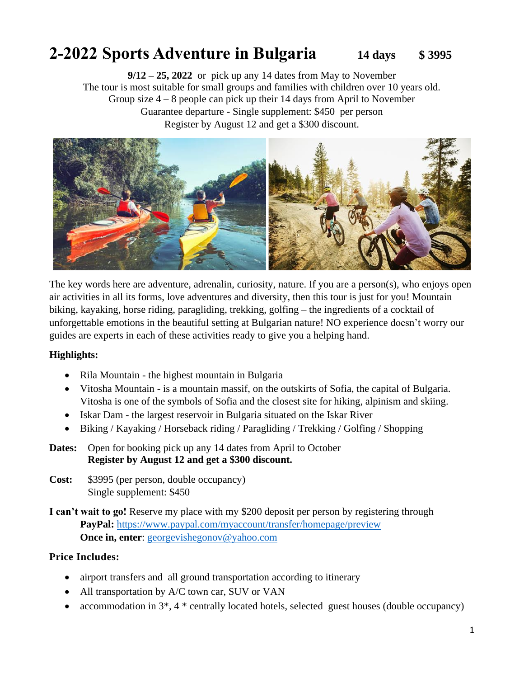# **2-2022 Sports Adventure in Bulgaria 14 days \$ 3995**

**9/12 – 25, 2022** or pick up any 14 dates from May to November The tour is most suitable for small groups and families with children over 10 years old. Group size 4 – 8 people can pick up their 14 days from April to November Guarantee departure - Single supplement: \$450 per person Register by August 12 and get a \$300 discount.



The key words here are adventure, adrenalin, curiosity, nature. If you are a person(s), who enjoys open air activities in all its forms, love adventures and diversity, then this tour is just for you! Mountain biking, kayaking, horse riding, paragliding, trekking, golfing – the ingredients of a cocktail of unforgettable emotions in the beautiful setting at Bulgarian nature! NO experience doesn't worry our guides are experts in each of these activities ready to give you a helping hand.

#### **Highlights:**

- Rila Mountain the highest mountain in Bulgaria
- Vitosha Mountain is a mountain massif, on the outskirts of Sofia, the capital of Bulgaria. Vitosha is one of the symbols of Sofia and the closest site for hiking, alpinism and skiing.
- Iskar Dam the largest reservoir in Bulgaria situated on the Iskar River
- Biking / Kayaking / Horseback riding / Paragliding / Trekking / Golfing / Shopping
- **Dates:** Open for booking pick up any 14 dates from April to October  **Register by August 12 and get a \$300 discount.**
- **Cost:** \$3995 (per person, double occupancy) Single supplement: \$450
- **I can't wait to go!** Reserve my place with my \$200 deposit per person by registering through **PayPal:** <https://www.paypal.com/myaccount/transfer/homepage/preview> **Once in, enter:** [georgevishegonov@yahoo.com](mailto:georgevishegonov@yahoo.com)

#### **Price Includes:**

- airport transfers and all ground transportation according to itinerary
- All transportation by A/C town car, SUV or VAN
- accommodation in 3<sup>\*</sup>, 4<sup>\*</sup> centrally located hotels, selected guest houses (double occupancy)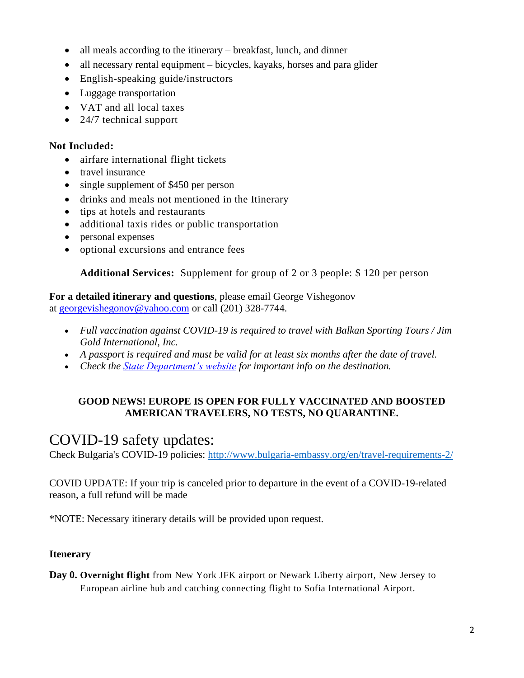- all meals according to the itinerary breakfast, lunch, and dinner
- all necessary rental equipment bicycles, kayaks, horses and para glider
- English-speaking guide/instructors
- Luggage transportation
- VAT and all local taxes
- 24/7 technical support

### **Not Included:**

- airfare international flight tickets
- travel insurance
- single supplement of \$450 per person
- drinks and meals not mentioned in the Itinerary
- tips at hotels and restaurants
- additional taxis rides or public transportation
- personal expenses
- optional excursions and entrance fees

# **Additional Services:** Supplement for group of 2 or 3 people: \$ 120 per person

**For a detailed itinerary and questions**, please email George Vishegonov at [georgevishegonov@yahoo.com](http://mailto:georgevishegonov@yahoo.com/) or call (201) 328-7744.

- *Full vaccination against COVID-19 is required to travel with Balkan Sporting Tours / Jim Gold International, Inc.*
- *A passport is required and must be valid for at least six months after the date of travel.*
- *Check the [State Department's website](http://travel.state.gov/) for important info on the destination.*

# **GOOD NEWS! EUROPE IS OPEN FOR FULLY VACCINATED AND BOOSTED AMERICAN TRAVELERS, NO TESTS, NO QUARANTINE.**

# COVID-19 safety updates:

Check Bulgaria's COVID-19 policies:<http://www.bulgaria-embassy.org/en/travel-requirements-2/>

COVID UPDATE: If your trip is canceled prior to departure in the event of a COVID-19-related reason, a full refund will be made

\*NOTE: Necessary itinerary details will be provided upon request.

# **Itenerary**

**Day 0. Overnight flight** from New York JFK airport or Newark Liberty airport, New Jersey to European airline hub and catching connecting flight to Sofia International Airport.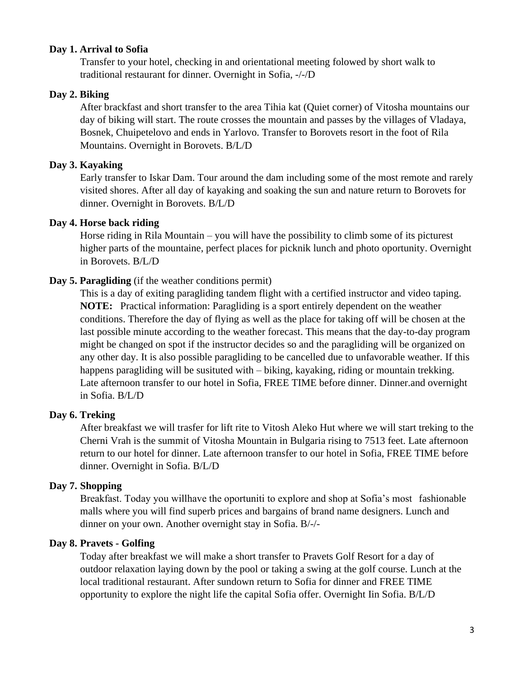#### **Day 1. Arrival to Sofia**

Transfer to your hotel, checking in and orientational meeting folowed by short walk to traditional restaurant for dinner. Overnight in Sofia, -/-/D

#### **Day 2. Biking**

After brackfast and short transfer to the area Tihia kat (Quiet corner) of Vitosha mountains our day of biking will start. The route crosses the mountain and passes by the villages of Vladaya, Bosnek, Chuipetelovo and ends in Yarlovo. Transfer to Borovets resort in the foot of Rila Mountains. Overnight in Borovets. B/L/D

#### **Day 3. Kayaking**

Early transfer to Iskar Dam. Tour around the dam including some of the most remote and rarely visited shores. After all day of kayaking and soaking the sun and nature return to Borovets for dinner. Overnight in Borovets. B/L/D

#### **Day 4. Horse back riding**

Horse riding in Rila Mountain – you will have the possibility to climb some of its picturest higher parts of the mountaine, perfect places for picknik lunch and photo oportunity. Overnight in Borovets. B/L/D

#### **Day 5. Paragliding** (if the weather conditions permit)

This is a day of exiting paragliding tandem flight with a certified instructor and video taping. **NOTE:** Practical information: Paragliding is a sport entirely dependent on the weather conditions. Therefore the day of flying as well as the place for taking off will be chosen at the last possible minute according to the weather forecast. This means that the day-to-day program might be changed on spot if the instructor decides so and the paragliding will be organized on any other day. It is also possible paragliding to be cancelled due to unfavorable weather. If this happens paragliding will be susituted with – biking, kayaking, riding or mountain trekking. Late afternoon transfer to our hotel in Sofia, FREE TIME before dinner. Dinner.and overnight in Sofia. B/L/D

#### **Day 6. Treking**

After breakfast we will trasfer for lift rite to Vitosh Aleko Hut where we will start treking to the Cherni Vrah is the summit of Vitosha Mountain in Bulgaria rising to 7513 feet. Late afternoon return to our hotel for dinner. Late afternoon transfer to our hotel in Sofia, FREE TIME before dinner. Overnight in Sofia. B/L/D

#### **Day 7. Shopping**

Breakfast. Today you willhave the oportuniti to explore and shop at Sofia's most fashionable malls where you will find superb prices and bargains of brand name designers. Lunch and dinner on your own. Another overnight stay in Sofia. B/-/-

#### **Day 8. Pravets - Golfing**

Today after breakfast we will make a short transfer to Pravets Golf Resort for a day of outdoor relaxation laying down by the pool or taking a swing at the golf course. Lunch at the local traditional restaurant. After sundown return to Sofia for dinner and FREE TIME opportunity to explore the night life the capital Sofia offer. Overnight Iin Sofia. B/L/D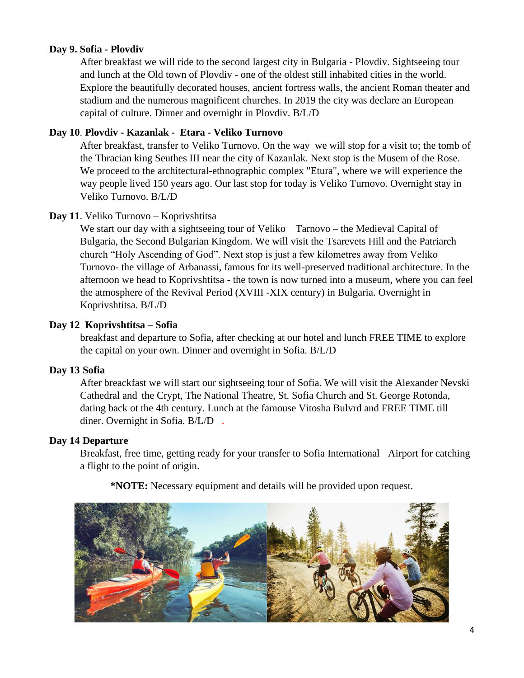#### **Day 9. Sofia - Plovdiv**

After breakfast we will ride to the second largest city in Bulgaria - Plovdiv. Sightseeing tour and lunch at the Old town of Plovdiv - one of the oldest still inhabited cities in the world. Explore the beautifully decorated houses, ancient fortress walls, the ancient Roman theater and stadium and the numerous magnificent churches. In 2019 the city was declare an European capital of culture. Dinner and overnight in Plovdiv. B/L/D

#### **Day 10**. **Plovdiv - Kazanlak - Etara - Veliko Turnovo**

After breakfast, transfer to Veliko Turnovo. On the way we will stop for a visit to; the tomb of the Thracian king Seuthes III near the city of Kazanlak. Next stop is the Musem of the Rose. We proceed to the architectural-ethnographic complex "Etura", where we will experience the way people lived 150 years ago. Our last stop for today is Veliko Turnovo. Overnight stay in Veliko Turnovo. B/L/D

#### **Day 11**. Veliko Turnovo – Koprivshtitsa

We start our day with a sightseeing tour of Veliko Tarnovo – the Medieval Capital of Bulgaria, the Second Bulgarian Kingdom. We will visit the Tsarevets Hill and the Patriarch church "Holy Ascending of God". Next stop is just a few kilometres away from Veliko Turnovo- the village of Arbanassi, famous for its well-preserved traditional architecture. In the afternoon we head to Koprivshtitsa - the town is now turned into a museum, where you can feel the atmosphere of the Revival Period (XVIII -XIX century) in Bulgaria. Overnight in Koprivshtitsa. B/L/D

#### **Day 12 Koprivshtitsa – Sofia**

breakfast and departure to Sofia, after checking at our hotel and lunch FREE TIME to explore the capital on your own. Dinner and overnight in Sofia. B/L/D

#### **Day 13 Sofia**

After breackfast we will start our sightseeing tour of Sofia. We will visit the Alexander Nevski Cathedral and the Crypt, The National Theatre, St. Sofia Church and St. George Rotonda, dating back ot the 4th century. Lunch at the famouse Vitosha Bulvrd and FREE TIME till diner. Overnight in Sofia. B/L/D .

#### **Day 14 Departure**

Breakfast, free time, getting ready for your transfer to Sofia International Airport for catching a flight to the point of origin.

**\*NOTE:** Necessary equipment and details will be provided upon request.

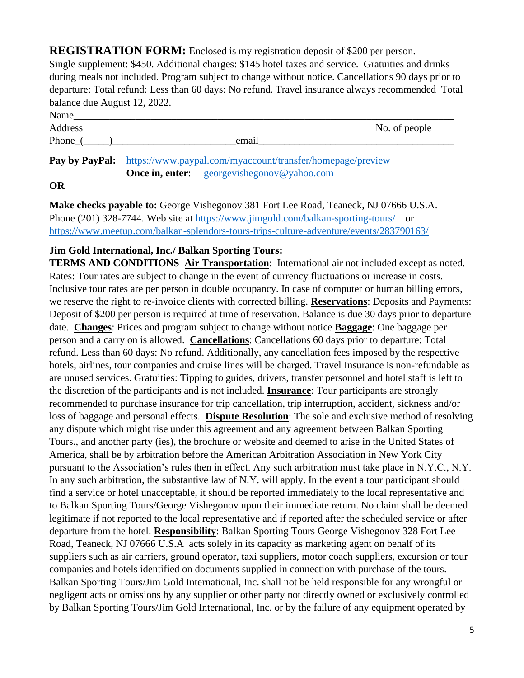**REGISTRATION FORM:** Enclosed is my registration deposit of \$200 per person.

Single supplement: \$450. Additional charges: \$145 hotel taxes and service. Gratuities and drinks during meals not included. Program subject to change without notice. Cancellations 90 days prior to departure: Total refund: Less than 60 days: No refund. Travel insurance always recommended Total balance due August 12, 2022.

| Name    |       |                             |
|---------|-------|-----------------------------|
| Address |       | $\sim$ No. of people $\sim$ |
| Phone   | email |                             |

**Pay by PayPal:** <https://www.paypal.com/myaccount/transfer/homepage/preview> **Once in, enter:** georgevishegonov@yahoo.com

# **OR**

**Make checks payable to:** George Vishegonov 381 Fort Lee Road, Teaneck, NJ 07666 U.S.A. Phone (201) 328-7744. Web site at<https://www.jimgold.com/balkan-sporting-tours/>or <https://www.meetup.com/balkan-splendors-tours-trips-culture-adventure/events/283790163/>

# **Jim Gold International, Inc./ Balkan Sporting Tours:**

**TERMS AND CONDITIONS Air Transportation**: International air not included except as noted. Rates: Tour rates are subject to change in the event of currency fluctuations or increase in costs. Inclusive tour rates are per person in double occupancy. In case of computer or human billing errors, we reserve the right to re-invoice clients with corrected billing. **Reservations**: Deposits and Payments: Deposit of \$200 per person is required at time of reservation. Balance is due 30 days prior to departure date. **Changes**: Prices and program subject to change without notice **Baggage**: One baggage per person and a carry on is allowed. **Cancellations**: Cancellations 60 days prior to departure: Total refund. Less than 60 days: No refund. Additionally, any cancellation fees imposed by the respective hotels, airlines, tour companies and cruise lines will be charged. Travel Insurance is non-refundable as are unused services. Gratuities: Tipping to guides, drivers, transfer personnel and hotel staff is left to the discretion of the participants and is not included. **Insurance**: Tour participants are strongly recommended to purchase insurance for trip cancellation, trip interruption, accident, sickness and/or loss of baggage and personal effects. **Dispute Resolution**: The sole and exclusive method of resolving any dispute which might rise under this agreement and any agreement between Balkan Sporting Tours., and another party (ies), the brochure or website and deemed to arise in the United States of America, shall be by arbitration before the American Arbitration Association in New York City pursuant to the Association's rules then in effect. Any such arbitration must take place in N.Y.C., N.Y. In any such arbitration, the substantive law of N.Y. will apply. In the event a tour participant should find a service or hotel unacceptable, it should be reported immediately to the local representative and to Balkan Sporting Tours/George Vishegonov upon their immediate return. No claim shall be deemed legitimate if not reported to the local representative and if reported after the scheduled service or after departure from the hotel. **Responsibility**: Balkan Sporting Tours George Vishegonov 328 Fort Lee Road, Teaneck, NJ 07666 U.S.A acts solely in its capacity as marketing agent on behalf of its suppliers such as air carriers, ground operator, taxi suppliers, motor coach suppliers, excursion or tour companies and hotels identified on documents supplied in connection with purchase of the tours. Balkan Sporting Tours/Jim Gold International, Inc. shall not be held responsible for any wrongful or negligent acts or omissions by any supplier or other party not directly owned or exclusively controlled by Balkan Sporting Tours/Jim Gold International, Inc. or by the failure of any equipment operated by